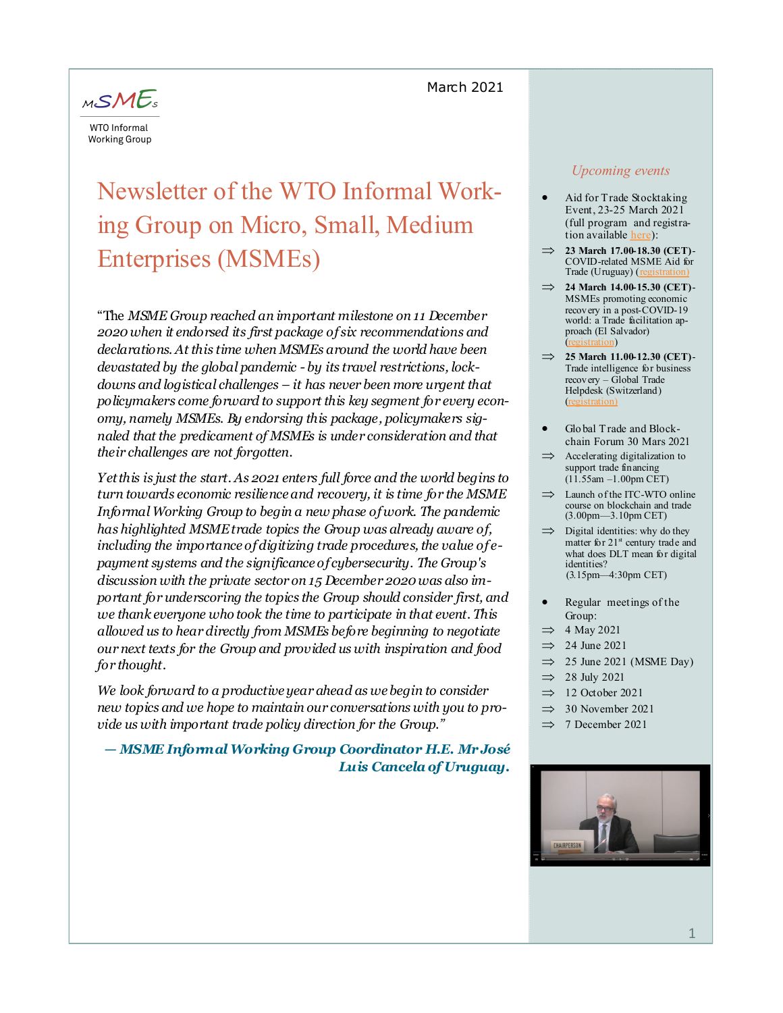## March 2021



# Newsletter of the WTO Informal Working Group on Micro, Small, Medium Enterprises (MSMEs)

"The *MSME Group reached an important milestone on 11 December 2020 when it endorsed its first package of six recommendations and declarations. At this time when MSMEs around the world have been devastated by the global pandemic - by its travel restrictions, lockdowns and logistical challenges – it has never been more urgent that policymakers come forward to support this key segment for every economy, namely MSMEs. By endorsing this package, policymakers signaled that the predicament of MSMEs is under consideration and that their challenges are not forgotten.* 

*Yet this is just the start. As 2021 enters full force and the world begins to turn towards economic resilience and recovery, it is time for the MSME Informal Working Group to begin a new phase of work. The pandemic has highlighted MSME trade topics the Group was already aware of, including the importance of digitizing trade procedures, the value of epayment systems and the significance of cybersecurity. The Group's discussion with the private sector on 15 December 2020 was also important for underscoring the topics the Group should consider first, and we thank everyone who took the time to participate in that event. This allowed us to hear directly from MSMEs before beginning to negotiate our next texts for the Group and provided us with inspiration and food for thought.* 

*We look forward to a productive year ahead as we begin to consider new topics and we hope to maintain our conversations with you to provide us with important trade policy direction for the Group."*

*— MSME Informal Working Group Coordinator H.E. Mr José Luis Cancela of Uruguay.*

### *Upcoming events*

- Aid for Trade Stocktaking Event, 23-25 March 2021 (full program and registration available [here\):](https://www.wto.org/english/tratop_e/devel_e/a4t_e/gr21_e/gr21_e.htm)
- **23 March 17.00-18.30 (CET)** COVID-related MSME Aid for Trade (Uruguay)  $(n)$
- **24 March 14.00-15.30 (CET)**  MSMEs promoting economic recovery in a post-COVID-19 world: a Trade facilitation approach (El Salvador)  $\langle \text{ion} \rangle$
- **25 March 11.00-12.30 (CET)** Trade intelligence for business recovery – Global Trade Helpdesk (Switzerland) ([registration\)](https://intracen.zoom.us/webinar/register/WN_S5sdf-g5SHuifLaJuKNCkA)
- Glo bal Trade and Blockchain Forum 30 Mars 2021
- $\implies$  Accelerating digitalization to support trade financing (11.55am –1.00pm CET)
- $\implies$  Launch of the ITC-WTO online course on blockchain and trade (3.00pm—3.10pm CET)
- $\implies$  Digital identities: why do they matter for  $21<sup>st</sup>$  century trade and what does DLT mean for digital identities? (3.15pm—4:30pm CET)
- Regular meetings of the Group:
- $\implies$  4 May 2021
- $\implies$  24 June 2021
- $\implies$  25 June 2021 (MSME Day)
- $\implies$  28 July 2021
- $\implies$  12 October 2021
- $\implies$  30 November 2021
- $\implies$  7 December 2021

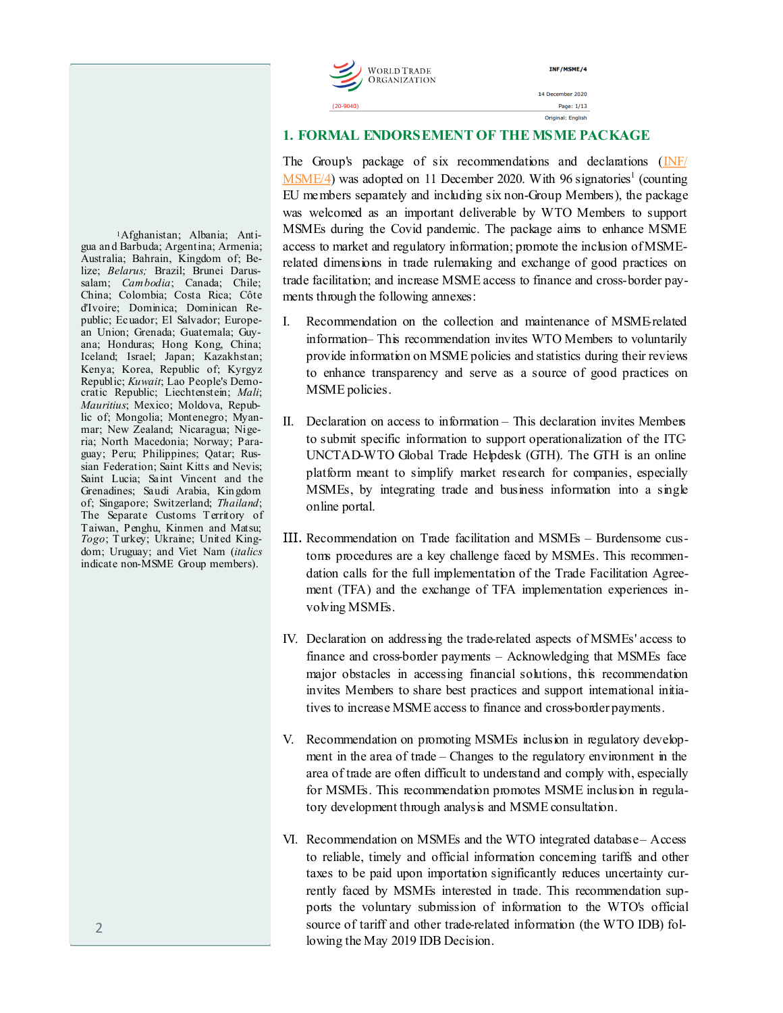INF/MSME/4 14 December 2020 Page: 1/13 Original: English

### **1. FORMAL ENDORSEMENT OF THE MSME PACKAGE**

The Group's package of six recommendations and declarations ([INF/](https://docs.wto.org/dol2fe/Pages/FE_Search/FE_S_S006.aspx?MetaCollection=WTO&SymbolList=%22INF%2fMSME%2f4%22+OR+%22INF%2fMSME%2f4%2f*%22&Serial=&IssuingDateFrom=&IssuingDateTo=&CATTITLE=&ConcernedCountryList=&OtherCountryList=&SubjectList=&TypeList=&FullText)  $\overline{\text{MSME}/4}$ ) was adopted on 11 December 2020. With 96 signatories<sup>1</sup> (counting EU members separately and including six non-Group Members), the package was welcomed as an important deliverable by WTO Members to support MSMEs during the Covid pandemic. The package aims to enhance MSME access to market and regulatory information; promote the inclusion of MSMErelated dimensions in trade rulemaking and exchange of good practices on trade facilitation; and increase MSME access to finance and cross-border payments through the following annexes:

- I. Recommendation on the collection and maintenance of MSME-related information– This recommendation invites WTO Members to voluntarily provide information on MSME policies and statistics during their reviews to enhance transparency and serve as a source of good practices on MSME policies.
- II. Declaration on access to information This declaration invites Members to submit specific information to support operationalization of the ITC-UNCTAD-WTO Global Trade Helpdesk (GTH). The GTH is an online platform meant to simplify market research for companies, especially MSMEs, by integrating trade and business information into a single online portal.
- III. Recommendation on Trade facilitation and MSMEs Burdensome customs procedures are a key challenge faced by MSMEs. This recommendation calls for the full implementation of the Trade Facilitation Agreement (TFA) and the exchange of TFA implementation experiences involving MSMEs.
- IV. Declaration on addressing the trade-related aspects of MSMEs' access to finance and cross-border payments – Acknowledging that MSMEs face major obstacles in accessing financial solutions, this recommendation invites Members to share best practices and support international initiatives to increase MSME access to finance and cross-border payments.
- V. Recommendation on promoting MSMEs inclusion in regulatory development in the area of trade – Changes to the regulatory environment in the area of trade are often difficult to understand and comply with, especially for MSMEs. This recommendation promotes MSME inclusion in regulatory development through analysis and MSME consultation.
- VI. Recommendation on MSMEs and the WTO integrated database Access to reliable, timely and official information concerning tariffs and other taxes to be paid upon importation significantly reduces uncertainty currently faced by MSMEs interested in trade. This recommendation supports the voluntary submission of information to the WTO's official source of tariff and other trade-related information (the WTO IDB) following the May 2019 IDB Decision.

1Afghanistan; Albania; Antigua an d Barbuda; Argentina; Armenia; Australia; Bahrain, Kingdom of; Belize; *Belarus;* Brazil; Brunei Darussalam; *Cambodia*; Canada; Chile; China; Colombia; Costa Rica; Côte d'Ivoire; Dominica; Dominican Republic; Ecuador; El Salvador; European Union; Grenada; Guatemala; Guyana; Honduras; Hong Kong, China; Iceland; Israel; Japan; Kazakhstan; Kenya; Korea, Republic of; Kyrgyz Republic; *Kuwait*; Lao People's Democratic Republic; Liechtenstein; *Mali*; *Mauritius*; Mexico; Moldova, Republic of; Mongolia; Montenegro; Myanmar; New Zealand; Nicaragua; Nigeria; North Macedonia; Norway; Paraguay; Peru; Philippines; Qatar; Russian Federation; Saint Kitts and Nevis; Saint Lucia; Saint Vincent and the Grenadines; Saudi Arabia, Kin gdom of; Singapore; Switzerland; *Thailand*; The Separate Customs Territory of Taiwan, Penghu, Kinmen and Matsu; *Togo*; Turkey; Ukraine; United Kingdom; Uruguay; and Viet Nam (*italics* indicate non-MSME Group members).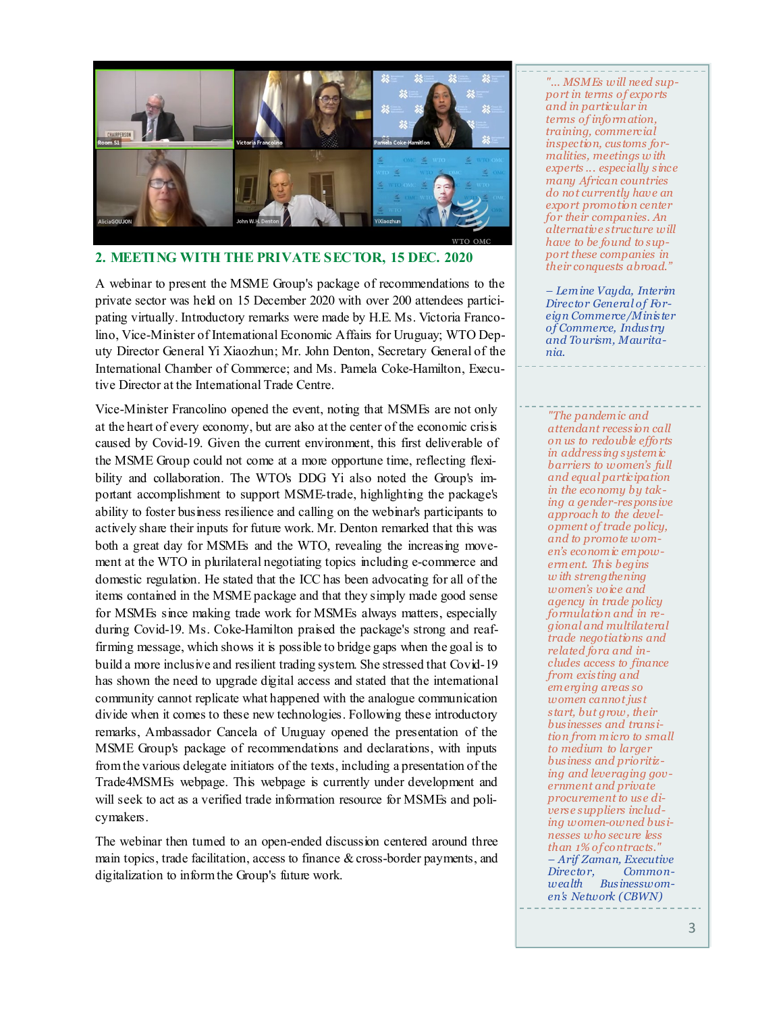

### **2. MEETING WITH THE PRIVATE SECTOR, 15 DEC. 2020**

A webinar to present the MSME Group's package of recommendations to the private sector was held on 15 December 2020 with over 200 attendees participating virtually. Introductory remarks were made by H.E. Ms. Victoria Francolino, Vice-Minister of International Economic Affairs for Uruguay; WTO Deputy Director General Yi Xiaozhun; Mr. John Denton, Secretary General of the International Chamber of Commerce; and Ms. Pamela Coke-Hamilton, Executive Director at the International Trade Centre.

Vice-Minister Francolino opened the event, noting that MSMEs are not only at the heart of every economy, but are also at the center of the economic crisis caused by Covid-19. Given the current environment, this first deliverable of the MSME Group could not come at a more opportune time, reflecting flexibility and collaboration. The WTO's DDG Yi also noted the Group's important accomplishment to support MSME-trade, highlighting the package's ability to foster business resilience and calling on the webinar's participants to actively share their inputs for future work. Mr. Denton remarked that this was both a great day for MSMEs and the WTO, revealing the increasing movement at the WTO in plurilateral negotiating topics including e-commerce and domestic regulation. He stated that the ICC has been advocating for all of the items contained in the MSME package and that they simply made good sense for MSMEs since making trade work for MSMEs always matters, especially during Covid-19. Ms. Coke-Hamilton praised the package's strong and reaffirming message, which shows it is possible to bridge gaps when the goal is to build a more inclusive and resilient trading system. She stressed that Covid-19 has shown the need to upgrade digital access and stated that the international community cannot replicate what happened with the analogue communication divide when it comes to these new technologies. Following these introductory remarks, Ambassador Cancela of Uruguay opened the presentation of the MSME Group's package of recommendations and declarations, with inputs from the various delegate initiators of the texts, including a presentation of the Trade4MSMEs webpage. This webpage is currently under development and will seek to act as a verified trade information resource for MSMEs and policymakers.

The webinar then turned to an open-ended discussion centered around three main topics, trade facilitation, access to finance & cross-border payments, and digitalization to inform the Group's future work.

*"... MSMEs will need support in terms of exports and in particular in terms of inform ation, training, commercial inspection, customs formalities, meetings w ith experts ... especially since many African countries do not currently have an export promotion center for their companies. An alternative structure will have to be found to support these companies in their conquests abroad."*

*– Lemine Vayda, Interim Director General of Foreign Commerce/Minister of Commerce, Industry and Tourism, Mauritania.* 

*"The pandemic and attendant recession call on us to redouble efforts in addressing systemic barriers to women's full and equal participation in the economy by taking a gender-responsive approach to the development of trade policy, and to promote women's economic empowerm ent. This begins w ith strengthening women's voice and agency in trade policy formulation and in regional and multilateral trade negotiations and related fora and includes access to finance from existing and em erging areas so women cannot just start, but grow, their businesses and transition from micro to small to medium to larger business and prioritizing and leveraging government and private procurement to use diverse suppliers including women-owned businesses who secure less than 1% of contracts." – Arif Zaman, Executive Director, wealth Businesswomen's Network (CBWN)*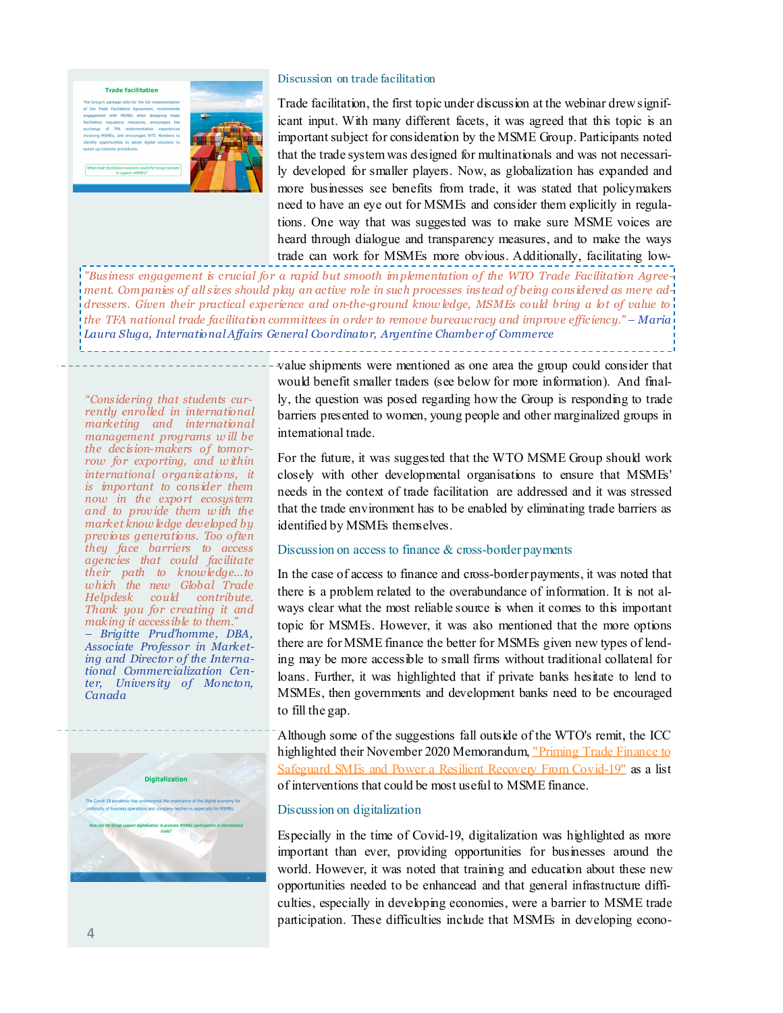#### **Trade facilitation**



#### Discussion on trade facilitation

Trade facilitation, the first topic under discussion at the webinar drew significant input. With many different facets, it was agreed that this topic is an important subject for consideration by the MSME Group. Participants noted that the trade system was designed for multinationals and was not necessarily developed for smaller players. Now, as globalization has expanded and more businesses see benefits from trade, it was stated that policymakers need to have an eye out for MSMEs and consider them explicitly in regulations. One way that was suggested was to make sure MSME voices are heard through dialogue and transparency measures, and to make the ways trade can work for MSMEs more obvious. Additionally, facilitating low-

*"Business engagement is crucial for a rapid but smooth im plementation of the WTO Trade Facilitation Agreement. Companies of all sizes should play an active role in such processes instead of being considered as mere addressers. Given their practical experience and on-the-ground know ledge, MSMEs could bring a lot of value to the TFA national trade facilitation committees in order to remove bureaucracy and improve efficiency." – Maria Laura Sluga, International Affairs General Coordinator, Argentine Chamber of Commerce* 

*"Considering that students currently enrolled in international marketing and international management programs w ill be the decision-makers of tomorrow for exporting, and w ithin international organizations, it is important to consider them now in the export ecosystem and to provide them w ith the market know ledge developed by previous generations. Too often they face barriers to access agencies that could facilitate their path to knowledge...to which the new Global Trade Helpdesk could contribute. Thank you for creating it and making it accessible to them." – Brigitte Prud'homme, DBA, Associate Professor in Marketing and Director of the International Commercialization Center, University of Moncton, Canada*



value shipments were mentioned as one area the group could consider that would benefit smaller traders (see below for more information). And finally, the question was posed regarding how the Group is responding to trade barriers presented to women, young people and other marginalized groups in international trade.

For the future, it was suggested that the WTO MSME Group should work closely with other developmental organisations to ensure that MSMEs' needs in the context of trade facilitation are addressed and it was stressed that the trade environment has to be enabled by eliminating trade barriers as identified by MSMEs themselves.

#### Discussion on access to finance & cross-border payments

In the case of access to finance and cross-border payments, it was noted that there is a problem related to the overabundance of information. It is not always clear what the most reliable source is when it comes to this important topic for MSMEs. However, it was also mentioned that the more options there are for MSME finance the better for MSMEs given new types of lending may be more accessible to small firms without traditional collateral for loans. Further, it was highlighted that if private banks hesitate to lend to MSMEs, then governments and development banks need to be encouraged to fill the gap.

Although some of the suggestions fall outside of the WTO's remit, the ICC highlighted their November 2020 Memorandum, ["Priming Trade Finance to](https://iccwbo.org/content/uploads/sites/3/2020/11/memo-g20-recommendations-smes.pdf)  [Safeguard SMEs and Power a Resilient Recovery From Covid](https://iccwbo.org/content/uploads/sites/3/2020/11/memo-g20-recommendations-smes.pdf)-19" as a list of interventions that could be most useful to MSME finance.

#### Discussion on digitalization

Especially in the time of Covid-19, digitalization was highlighted as more important than ever, providing opportunities for businesses around the world. However, it was noted that training and education about these new opportunities needed to be enhancead and that general infrastructure difficulties, especially in developing economies, were a barrier to MSME trade participation. These difficulties include that MSMEs in developing econo-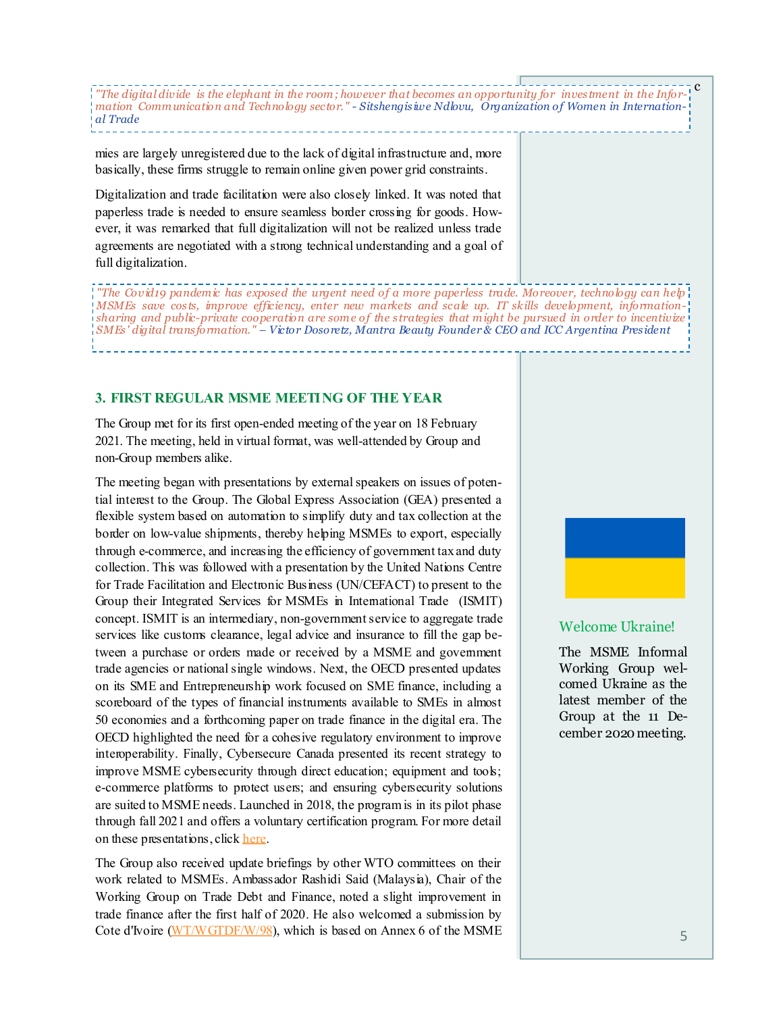c *"The digital divide is the elephant in the room; however that becomes an opportunity for investment in the Information Communication and Technology sector." - Sitshengisiwe Ndlovu, Organization of Women in International Trade*

mies are largely unregistered due to the lack of digital infrastructure and, more basically, these firms struggle to remain online given power grid constraints.

Digitalization and trade facilitation were also closely linked. It was noted that paperless trade is needed to ensure seamless border crossing for goods. However, it was remarked that full digitalization will not be realized unless trade agreements are negotiated with a strong technical understanding and a goal of full digitalization.

*"The Covid19 pandemic has exposed the urgent need of a more paperless trade. Moreover, technology can help MSMEs save costs, improve efficiency, enter new markets and scale up. IT skills development, informationsharing and public-private cooperation are som e of the strategies that m ight be pursued in order to incentivize SMEs' digital transformation." – Victor Dosoretz, Mantra Beauty Founder & CEO and ICC Argentina President*

### **3. FIRST REGULAR MSME MEETING OF THE YEAR**

The Group met for its first open-ended meeting of the year on 18 February 2021. The meeting, held in virtual format, was well-attended by Group and non-Group members alike.

The meeting began with presentations by external speakers on issues of potential interest to the Group. The Global Express Association (GEA) presented a flexible system based on automation to simplify duty and tax collection at the border on low-value shipments, thereby helping MSMEs to export, especially through e-commerce, and increasing the efficiency of government tax and duty collection. This was followed with a presentation by the United Nations Centre for Trade Facilitation and Electronic Business (UN/CEFACT) to present to the Group their Integrated Services for MSMEs in International Trade (ISMIT) concept. ISMIT is an intermediary, non-government service to aggregate trade services like customs clearance, legal advice and insurance to fill the gap between a purchase or orders made or received by a MSME and government trade agencies or national single windows. Next, the OECD presented updates on its SME and Entrepreneurship work focused on SME finance, including a scoreboard of the types of financial instruments available to SMEs in almost 50 economies and a forthcoming paper on trade finance in the digital era. The OECD highlighted the need for a cohesive regulatory environment to improve interoperability. Finally, Cybersecure Canada presented its recent strategy to improve MSME cybersecurity through direct education; equipment and tools; e-commerce platforms to protect users; and ensuring cybersecurity solutions are suited to MSME needs. Launched in 2018, the program is in its pilot phase through fall 2021 and offers a voluntary certification program. For more detail on these presentations, click [here.](#page-6-0)

The Group also received update briefings by other WTO committees on their work related to MSMEs. Ambassador Rashidi Said (Malaysia), Chair of the Working Group on Trade Debt and Finance, noted a slight improvement in trade finance after the first half of 2020. He also welcomed a submission by Cote d'Ivoire [\(WT/WGTDF/W/98\)](https://docs.wto.org/dol2fe/Pages/FE_Search/FE_S_S009-DP.aspx?language=E&CatalogueIdList=269520&CurrentCatalogueIdIndex=0&FullTextHash=371857150&HasEnglishRecord=True&HasFrenchRecord=True&HasSpanishRecord=True), which is based on Annex 6 of the MSME



#### Welcome Ukraine!

The MSME Informal Working Group welcomed Ukraine as the latest member of the Group at the 11 December 2020 meeting.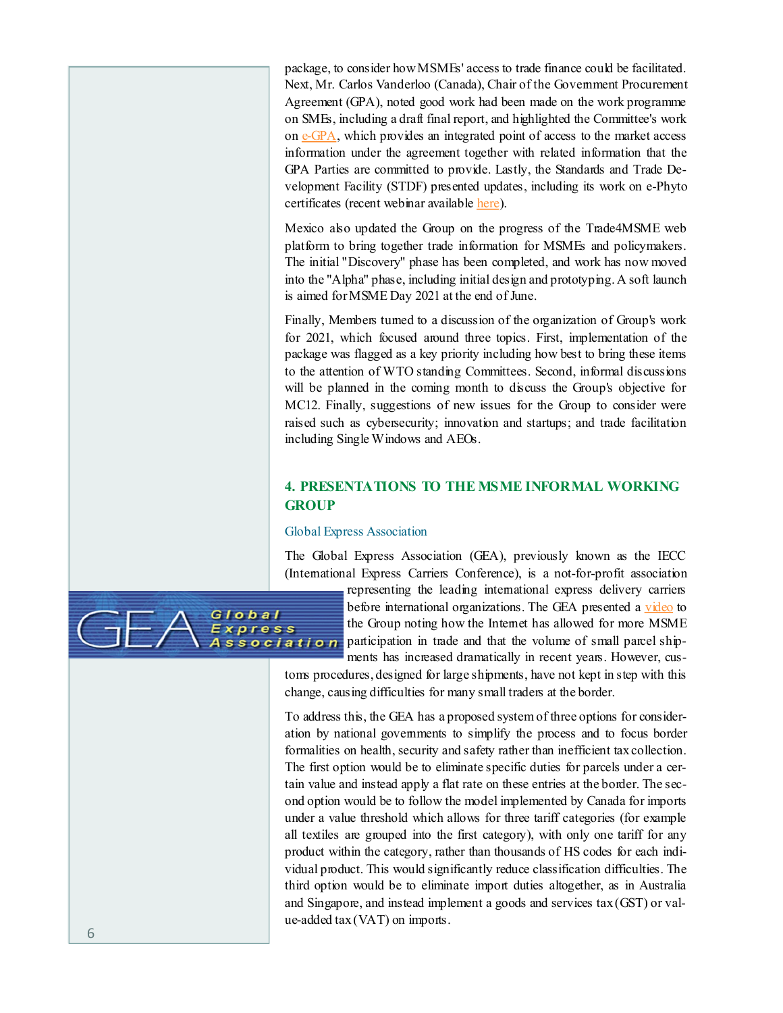package, to consider how MSMEs' access to trade finance could be facilitated. Next, Mr. Carlos Vanderloo (Canada), Chair of the Government Procurement Agreement (GPA), noted good work had been made on the work programme on SMEs, including a draft final report, and highlighted the Committee's work on e-[GPA,](https://e-gpa.wto.org/) which provides an integrated point of access to the market access information under the agreement together with related information that the GPA Parties are committed to provide. Lastly, the Standards and Trade Development Facility (STDF) presented updates, including its work on e-Phyto certificates (recent webinar available [here\)](https://standardsfacility.org/ephyto-webinar).

Mexico also updated the Group on the progress of the Trade4MSME web platform to bring together trade information for MSMEs and policymakers. The initial "Discovery" phase has been completed, and work has now moved into the "Alpha" phase, including initial design and prototyping. A soft launch is aimed for MSME Day 2021 at the end of June.

Finally, Members turned to a discussion of the organization of Group's work for 2021, which focused around three topics. First, implementation of the package was flagged as a key priority including how best to bring these items to the attention of WTO standing Committees. Second, informal discussions will be planned in the coming month to discuss the Group's objective for MC12. Finally, suggestions of new issues for the Group to consider were raised such as cybersecurity; innovation and startups; and trade facilitation including Single Windows and AEOs.

## **4. PRESENTATIONS TO THE MSME INFORMAL WORKING GROUP**

#### Global Express Association

The Global Express Association (GEA), previously known as the IECC (International Express Carriers Conference), is a not-for-profit association

representing the leading international express delivery carriers before international organizations. The GEA presented a [video](https://global-express.org/index.php?id=31) to the Group noting how the Internet has allowed for more MSME ssociation participation in trade and that the volume of small parcel shipments has increased dramatically in recent years. However, cus-

toms procedures, designed for large shipments, have not kept in step with this change, causing difficulties for many small traders at the border.

To address this, the GEA has a proposed system of three options for consideration by national governments to simplify the process and to focus border formalities on health, security and safety rather than inefficient tax collection. The first option would be to eliminate specific duties for parcels under a certain value and instead apply a flat rate on these entries at the border. The second option would be to follow the model implemented by Canada for imports under a value threshold which allows for three tariff categories (for example all textiles are grouped into the first category), with only one tariff for any product within the category, rather than thousands of HS codes for each individual product. This would significantly reduce classification difficulties. The third option would be to eliminate import duties altogether, as in Australia and Singapore, and instead implement a goods and services tax (GST) or value-added tax (VAT) on imports.

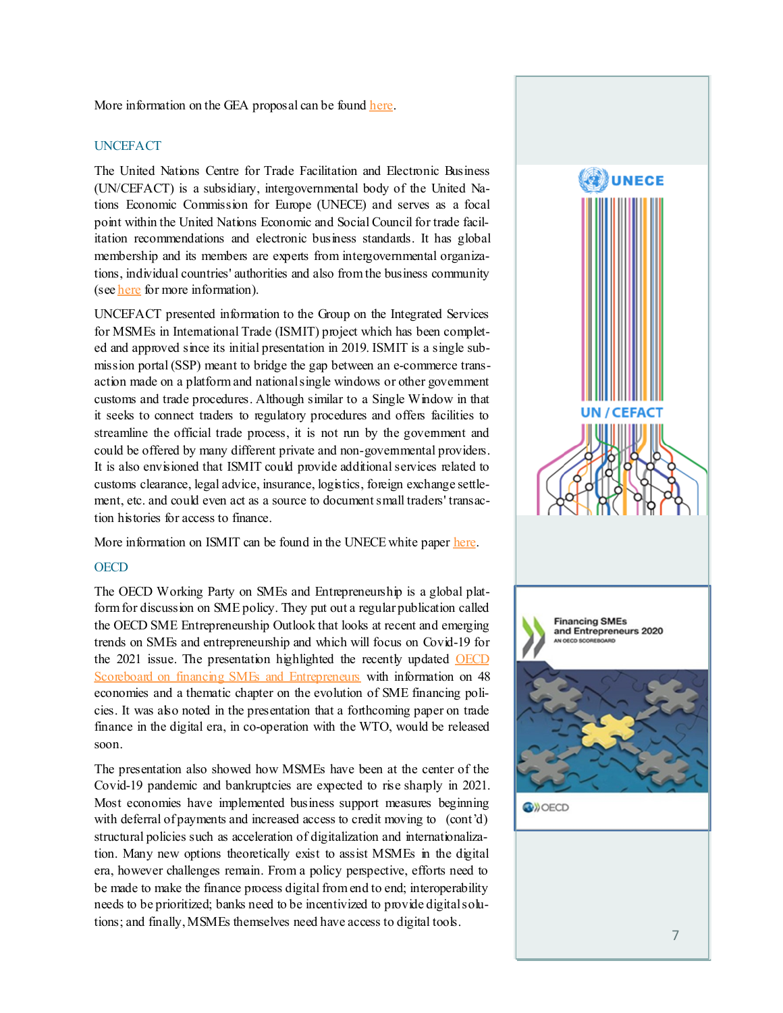#### <span id="page-6-0"></span>More information on the GEA proposal can be found [here.](https://global-express.org/assets/files/amgads-paper-de-minimis-vat-gst-on-lvs/GEA%20PROPOSAL%20ON%20DUTY-TAX%20COLLECTION%20ON%20IMPORTED%20LOW%20VALUE%20SHIPMENTS.pdf)

### UNCEFACT

The United Nations Centre for Trade Facilitation and Electronic Business (UN/CEFACT) is a subsidiary, intergovernmental body of the United Nations Economic Commission for Europe (UNECE) and serves as a focal point within the United Nations Economic and Social Council for trade facilitation recommendations and electronic business standards. It has global membership and its members are experts from intergovernmental organizations, individual countries' authorities and also from the business community (see [here](https://unece.org/trade/uncefact) for more information).

UNCEFACT presented information to the Group on the Integrated Services for MSMEs in International Trade (ISMIT) project which has been completed and approved since its initial presentation in 2019. ISMIT is a single submission portal (SSP) meant to bridge the gap between an e-commerce transaction made on a platform and national single windows or other government customs and trade procedures. Although similar to a Single Window in that it seeks to connect traders to regulatory procedures and offers facilities to streamline the official trade process, it is not run by the government and could be offered by many different private and non-govemmental providers. It is also envisioned that ISMIT could provide additional services related to customs clearance, legal advice, insurance, logistics, foreign exchange settlement, etc. and could even act as a source to document small traders' transaction histories for access to finance.

More information on ISMIT can be found in the UNECE white paper [here.](https://unece.org/fileadmin/DAM/cefact/GuidanceMaterials/WhitePapers/WP_MSMEs-ISMIT_Eng.pdf)

#### **OECD**

The OECD Working Party on SMEs and Entrepreneurship is a global platform for discussion on SME policy. They put out a regular publication called the OECD SME Entrepreneurship Outlook that looks at recent and emerging trends on SMEs and entrepreneurship and which will focus on Covid-19 for the 2021 issue. The presentation highlighted the recently updated **OECD** [Scoreboard on financing SMEs and Entrepreneurs](https://www.oecd.org/cfe/smes/financing-smes-and-entrepreneurs-23065265.htm) with information on 48 economies and a thematic chapter on the evolution of SME financing policies. It was also noted in the presentation that a forthcoming paper on trade finance in the digital era, in co-operation with the WTO, would be released soon.

The presentation also showed how MSMEs have been at the center of the Covid-19 pandemic and bankruptcies are expected to rise sharply in 2021. Most economies have implemented business support measures beginning with deferral of payments and increased access to credit moving to (cont'd) structural policies such as acceleration of digitalization and internationalization. Many new options theoretically exist to assist MSMEs in the digital era, however challenges remain. From a policy perspective, efforts need to be made to make the finance process digital from end to end; interoperability needs to be prioritized; banks need to be incentivized to provide digital solutions; and finally, MSMEs themselves need have access to digital tools.

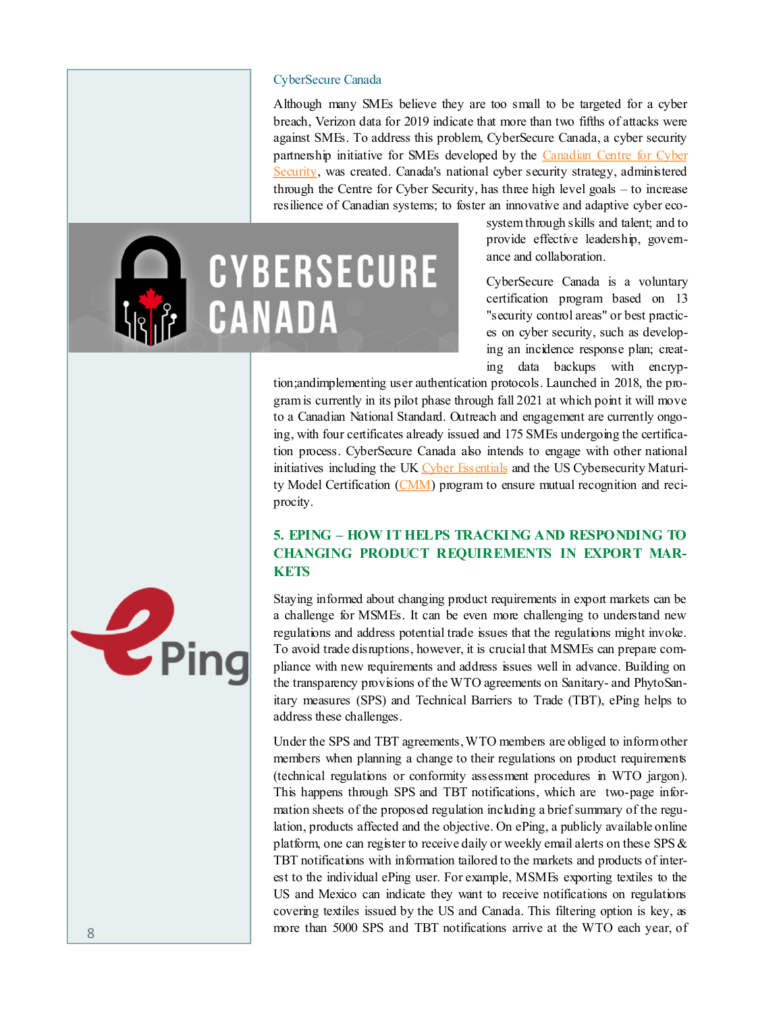#### CyberSecure Canada

Although many SMEs believe they are too small to be targeted for a cyber breach, Verizon data for 2019 indicate that more than two fifths of attacks were against SMEs. To address this problem, CyberSecure Canada, a cyber security partnership initiative for SMEs developed by the Canadian Centre for Cyber [Security,](https://cyber.gc.ca/en/) was created. Canada's national cyber security strategy, administered through the Centre for Cyber Security, has three high level goals – to increase resilience of Canadian systems; to foster an innovative and adaptive cyber eco-



system through skills and talent; and to provide effective leadership, governance and collaboration.

CyberSecure Canada is a voluntary certification program based on 13 "security control areas" or best practices on cyber security, such as developing an incidence response plan; creating data backups with encryp-

tion;andimplementing user authentication protocols. Launched in 2018, the program is currently in its pilot phase through fall 2021 at which point it will move to a Canadian National Standard. Outreach and engagement are currently ongoing, with four certificates already issued and 175 SMEs undergoing the certification process. CyberSecure Canada also intends to engage with other national initiatives including the UK [Cyber Essentials](https://www.ncsc.gov.uk/cyberessentials/overview) and the US Cybersecurity Maturity Model Certification [\(CMM\)](https://www.acq.osd.mil/cmmc/) program to ensure mutual recognition and reciprocity.

## **5. EPING – HOW IT HELPS TRACKING AND RESPONDING TO CHANGING PRODUCT REQUIREMENTS IN EXPORT MAR-KETS**

Staying informed about changing product requirements in export markets can be a challenge for MSMEs. It can be even more challenging to understand new regulations and address potential trade issues that the regulations might invoke. To avoid trade disruptions, however, it is crucial that MSMEs can prepare compliance with new requirements and address issues well in advance. Building on the transparency provisions of the WTO agreements on Sanitary- and PhytoSanitary measures (SPS) and Technical Barriers to Trade (TBT), ePing helps to address these challenges.

Under the SPS and TBT agreements, WTO members are obliged to inform other members when planning a change to their regulations on product requirements (technical regulations or conformity assessment procedures in WTO jargon). This happens through SPS and TBT notifications, which are two-page information sheets of the proposed regulation including a brief summary of the regulation, products affected and the objective. On ePing, a publicly available online platform, one can register to receive daily or weekly email alerts on these SPS  $\&$ TBT notifications with information tailored to the markets and products of interest to the individual ePing user. For example, MSMEs exporting textiles to the US and Mexico can indicate they want to receive notifications on regulations covering textiles issued by the US and Canada. This filtering option is key, as 8 more than 5000 SPS and TBT notifications arrive at the WTO each year, of

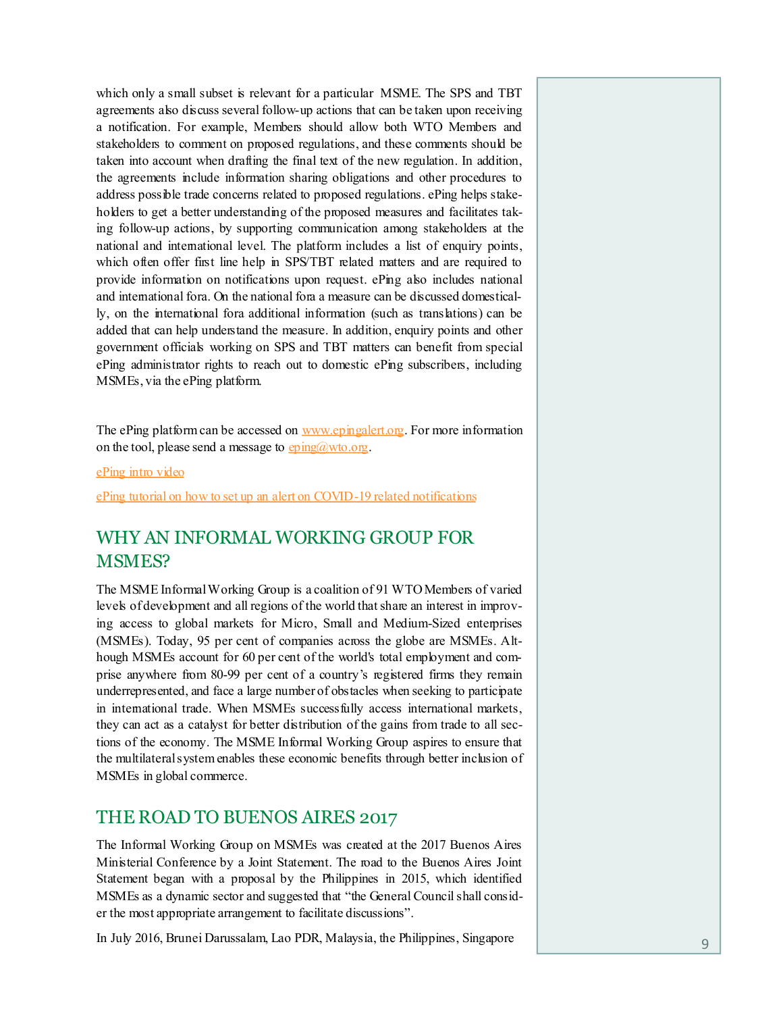which only a small subset is relevant for a particular MSME. The SPS and TBT agreements also discuss several follow-up actions that can be taken upon receiving a notification. For example, Members should allow both WTO Members and stakeholders to comment on proposed regulations, and these comments should be taken into account when drafting the final text of the new regulation. In addition, the agreements include information sharing obligations and other procedures to address possible trade concerns related to proposed regulations. ePing helps stakeholders to get a better understanding of the proposed measures and facilitates taking follow-up actions, by supporting communication among stakeholders at the national and international level. The platform includes a list of enquiry points, which often offer first line help in SPS/TBT related matters and are required to provide information on notifications upon request. ePing also includes national and international fora. On the national fora a measure can be discussed domestically, on the international fora additional information (such as translations) can be added that can help understand the measure. In addition, enquiry points and other government officials working on SPS and TBT matters can benefit from special ePing administrator rights to reach out to domestic ePing subscribers, including MSMEs, via the ePing platform.

The ePing platform can be accessed on [www.epingalert.org.](http://www.epingalert.org) For more information on the tool, please send a message to  $\frac{\text{eping}(a) \text{wto.} \text{op}}{\text{op}}$ .

[ePing intro video](https://youtu.be/Ob5ou6rYYH0)

[ePing tutorial on how to set up an alert on COVID](https://youtu.be/jqD5Gf2WKZk)-19 related notifications

# WHY AN INFORMAL WORKING GROUP FOR MSMES?

The MSME Informal Working Group is a coalition of 91 WTO Members of varied levels of development and all regions of the world that share an interest in improving access to global markets for Micro, Small and Medium-Sized enterprises (MSMEs). Today, 95 per cent of companies across the globe are MSMEs. Although MSMEs account for 60 per cent of the world's total employment and comprise anywhere from 80-99 per cent of a country's registered firms they remain underrepresented, and face a large number of obstacles when seeking to participate in international trade. When MSMEs successfully access international markets, they can act as a catalyst for better distribution of the gains from trade to all sections of the economy. The MSME Informal Working Group aspires to ensure that the multilateral system enables these economic benefits through better inclusion of MSMEs in global commerce.

## THE ROAD TO BUENOS AIRES 2017

The Informal Working Group on MSMEs was created at the 2017 Buenos Aires Ministerial Conference by a Joint Statement. The road to the Buenos Aires Joint Statement began with a proposal by the Philippines in 2015, which identified MSMEs as a dynamic sector and suggested that "the General Council shall consider the most appropriate arrangement to facilitate discussions".

In July 2016, Brunei Darussalam, Lao PDR, Malaysia, the Philippines, Singapore